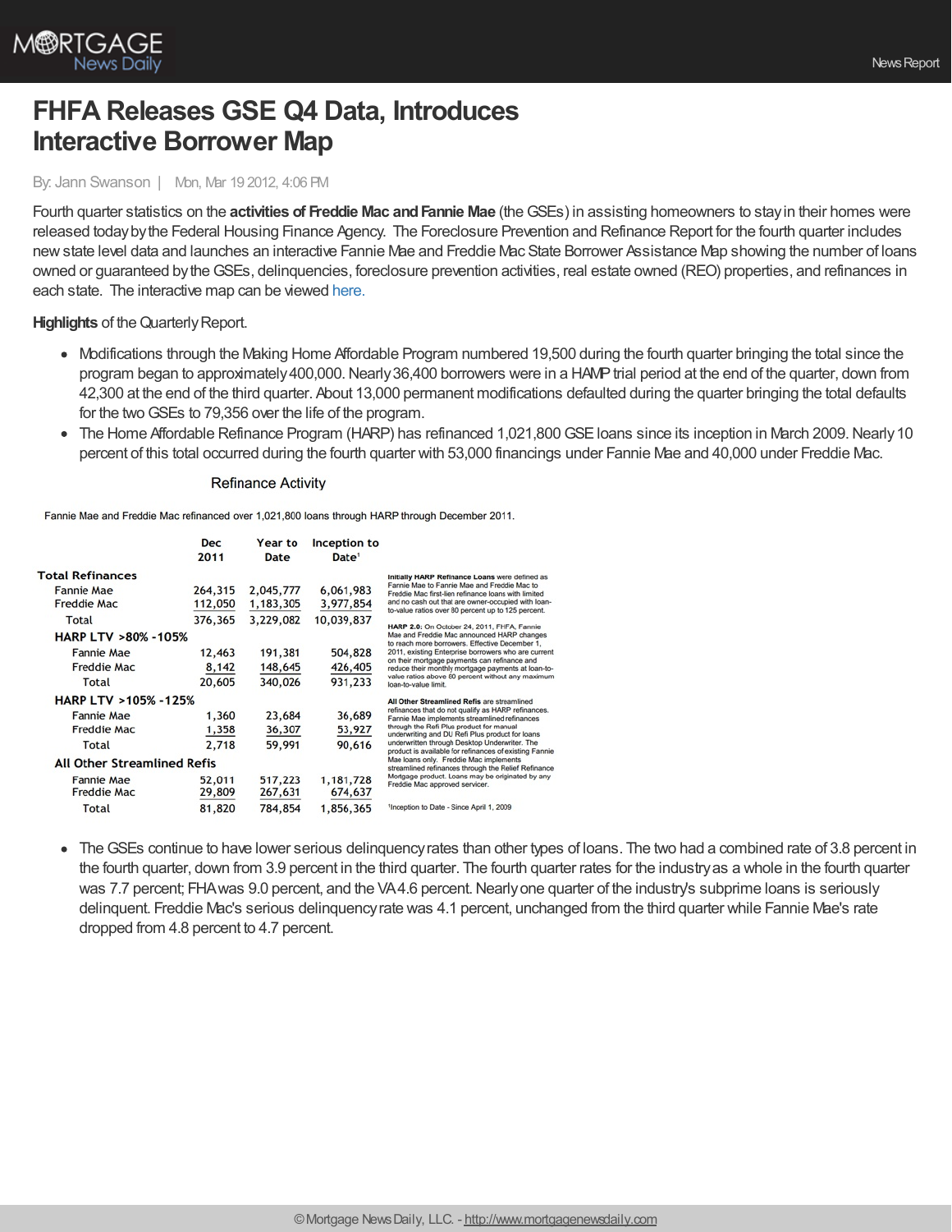

# **FHFA Releases GSE Q4 Data, Introduces Interactive Borrower Map**

### By: Jann Swanson | Mon, Mar 19 2012, 4:06 PM

Fourth quarter statistics on the **activities of Freddie Mac andFannie Mae** (theGSEs) in assisting homeowners to stayin their homes were released todaybythe Federal Housing Finance Agency. The Foreclosure Prevention and Refinance Report for the fourth quarter includes newstate level data and launches an interactive Fannie Mae and Freddie Mac State Borrower Assistance Map showing the number of loans owned or guaranteed bytheGSEs, delinquencies, foreclosure prevention activities, real estate owned (REO) properties, and refinances in each state. The interactive map can be viewed [here.](http://www.fhfa.gov/Default.aspx?Page=393)

**Highlights** of the Quarterly Report.

- Modifications through the Making Home Affordable Program numbered 19,500 during the fourth quarter bringing the total since the program began to approximately 400,000. Nearly 36,400 borrowers were in a HAMP trial period at the end of the quarter, down from 42,300 at the end of the third quarter. About 13,000 permanent modifications defaulted during the quarter bringing the total defaults for the twoGSEs to 79,356 over the life of the program.
- The Home Affordable Refinance Program (HARP) has refinanced 1,021,800 GSE loans since its inception in March 2009. Nearly 10 percent of this total occurred during the fourth quarter with 53,000 financings under Fannie Mae and 40,000 under Freddie Mac.

#### **Refinance Activity**

Fannie Mae and Freddie Mac refinanced over 1,021,800 loans through HARP through December 2011.

|                                    | <b>Dec</b><br>2011                             | Year to<br>Date | Inception to<br>Date <sup>1</sup> |                                                                                                                                             |
|------------------------------------|------------------------------------------------|-----------------|-----------------------------------|---------------------------------------------------------------------------------------------------------------------------------------------|
| <b>Total Refinances</b>            | Initially HARP Refinance Loans were defined as |                 |                                   |                                                                                                                                             |
| <b>Fannie Mae</b>                  | 264,315                                        | 2,045,777       | 6,061,983                         | Fannie Mae to Fannie Mae and Freddie Mac to<br>Freddie Mac first-lien refinance loans with limited                                          |
| Freddie Mac                        | 112,050                                        | 1,183,305       | 3,977,854                         | and no cash out that are owner-occupied with loan-<br>to-value ratios over 80 percent up to 125 percent.                                    |
| Total                              | 376,365                                        | 3,229,082       | 10,039,837                        |                                                                                                                                             |
| <b>HARP LTV &gt;80% -105%</b>      |                                                |                 |                                   | HARP 2.0: On October 24, 2011, FHFA, Fannie<br>Mae and Freddie Mac announced HARP changes<br>to reach more borrowers. Effective December 1. |
| <b>Fannie Mae</b>                  | 12,463                                         | 191,381         | 504,828                           | 2011, existing Enterprise borrowers who are current                                                                                         |
| Freddie Mac                        | 8,142                                          | 148,645         | 426,405                           | on their mortgage payments can refinance and<br>reduce their monthly mortgage payments at loan-to-                                          |
| <b>Total</b>                       | 20,605                                         | 340,026         | 931,233                           | value ratios above 80 percent without any maximum<br>loan-to-value limit.                                                                   |
| <b>HARP LTV &gt;105% -125%</b>     |                                                |                 |                                   | All Other Streamlined Refis are streamlined                                                                                                 |
| <b>Fannie Mae</b>                  | 1,360                                          | 23,684          | 36,689                            | refinances that do not qualify as HARP refinances.<br>Fannie Mae implements streamlined refinances                                          |
| Freddie Mac                        | 1,358                                          | 36,307          | 53,927                            | through the Refi Plus product for manual<br>underwriting and DU Refi Plus product for loans.                                                |
| Total                              | 2,718                                          | 59,991          | 90,616                            | underwritten through Desktop Underwriter. The<br>product is available for refinances of existing Fannie                                     |
| <b>All Other Streamlined Refis</b> |                                                |                 |                                   | Mae loans only. Freddie Mac implements<br>streamlined refinances through the Relief Refinance                                               |
| <b>Fannie Mae</b>                  | 52,011                                         | 517,223         | 1,181,728                         | Mortgage product. Loans may be originated by any<br>Freddie Mac approved servicer.                                                          |
| <b>Freddie Mac</b>                 | 29,809                                         | 267,631         | 674,637                           |                                                                                                                                             |
| Total                              | 81,820                                         | 784,854         | 1,856,365                         | <sup>1</sup> Inception to Date - Since April 1, 2009                                                                                        |

TheGSEs continue to have lower serious delinquencyrates than other types of loans. The two had a combined rate of 3.8 percent in the fourth quarter, down from 3.9 percent in the third quarter. The fourth quarter rates for the industryas a whole in the fourth quarter was 7.7 percent; FHA was 9.0 percent, and the VA4.6 percent. Nearly one quarter of the industry's subprime loans is seriously delinquent. Freddie Mac's serious delinquencyrate was 4.1 percent, unchanged from the third quarter while Fannie Mae's rate dropped from 4.8 percent to 4.7 percent.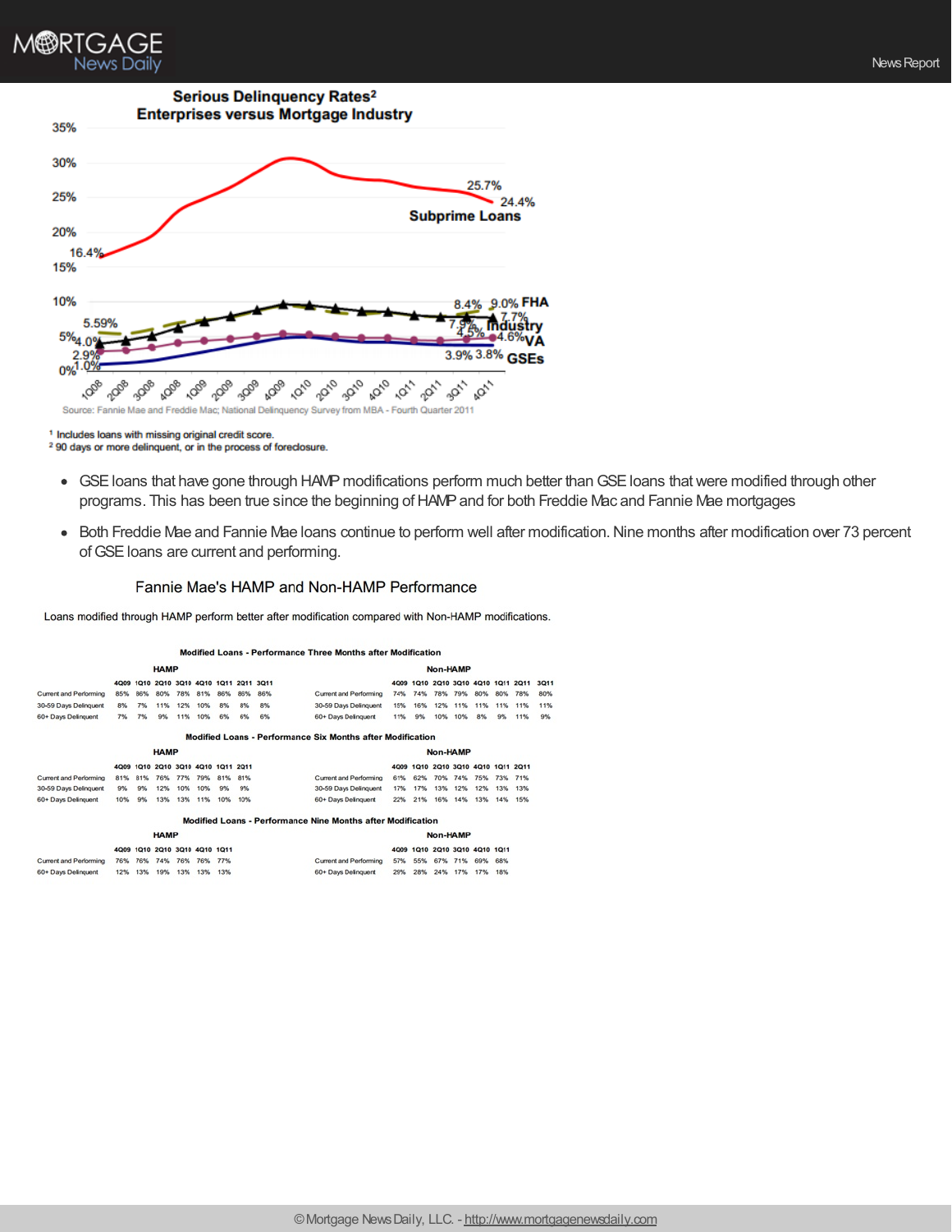

<sup>1</sup> Includes loans with missing original credit score.

<sup>2</sup> 90 days or more delinquent, or in the process of foreclosure.

- GSE loans that have gone through HAMP modifications perform much better than GSE loans that were modified through other programs. This has been true since the beginning of HAMP and for both Freddie Mac and Fannie Mae mortgages
- Both Freddie Mae and Fannie Mae Ioans continue to perform well after modification. Nine months after modification over 73 percent of GSE loans are current and performing.

#### Fannie Mae's HAMP and Non-HAMP Performance

Loans modified through HAMP perform better after modification compared with Non-HAMP modifications.

#### Modified Loans - Performance Three Months after Modification

| <b>HAMP</b>            |      |      |                                    |     |     |                               |     |     | Non-HAMP                                                    |          |      |                                    |     |                |     |     |      |
|------------------------|------|------|------------------------------------|-----|-----|-------------------------------|-----|-----|-------------------------------------------------------------|----------|------|------------------------------------|-----|----------------|-----|-----|------|
|                        | 4009 | 1010 |                                    |     |     | 2010 3010 4010 1011 2011 3011 |     |     |                                                             | 4009     |      | 1010 2010 3010 4010 1011 2011      |     |                |     |     | 3Q11 |
| Current and Performing | 85%  | 86%  | 80%                                | 78% | 81% | 86%                           | 86% | 86% | Current and Performing                                      | 74%      | 74%  | 78%                                | 79% | 80%            | 80% | 78% | 80%  |
| 30-59 Days Delinquent  | 8%   | 7%   | 11%                                | 12% | 10% | 8%                            | 8%  | 8%  | 30-59 Days Delinquent                                       | 15%      | 16%  | 12%                                | 11% | 11%            | 11% | 11% | 11%  |
| 60+ Days Delinquent    | 7%   | 7%   | 9%                                 | 11% | 10% | 6%                            | 6%  | 6%  | 60+ Days Delinquent                                         | 11%      | 9%   | 10%                                | 10% | 8%             | 9%  | 11% | 9%   |
|                        |      |      |                                    |     |     |                               |     |     | Modified Loans - Performance Six Months after Modification  |          |      |                                    |     |                |     |     |      |
| <b>HAMP</b>            |      |      |                                    |     |     |                               |     |     |                                                             | Non-HAMP |      |                                    |     |                |     |     |      |
|                        |      |      | 4Q09 1Q10 2Q10 3Q10 4Q10 1Q11 2Q11 |     |     |                               |     |     |                                                             |          |      | 4Q09 1Q10 2Q10 3Q10 4Q10 1Q11 2Q11 |     |                |     |     |      |
| Current and Performing | 81%  | 81%  | 76%                                | 77% | 79% | 81%                           | 81% |     | Current and Performing                                      | 61%      | 62%  | 70%                                | 74% | 75%            | 73% | 71% |      |
| 30-59 Days Delinquent  | 9%   | 9%   | 12%                                | 10% | 10% | 9%                            | 9%  |     | 30-59 Days Delinquent                                       | 17%      | 17%  | 13%                                | 12% | 12%            | 13% | 13% |      |
| 60+ Days Delinquent    | 10%  | 9%   | 13%                                | 13% | 11% | 10%                           | 10% |     | 60+ Days Delinquent                                         | 22%      | 21%  | 16%                                | 14% | 13%            | 14% | 15% |      |
|                        |      |      |                                    |     |     |                               |     |     | Modified Loans - Performance Nine Months after Modification |          |      |                                    |     |                |     |     |      |
| <b>HAMP</b>            |      |      |                                    |     |     |                               |     |     |                                                             | Non-HAMP |      |                                    |     |                |     |     |      |
|                        | 4009 | 1Q10 | 2010 3010 4010 1011                |     |     |                               |     |     |                                                             | 4009     | 1010 | 2Q10                               |     | 3010 4010 1011 |     |     |      |
| Current and Performing | 76%  | 76%  | 74%                                | 76% | 76% | 77%                           |     |     | Current and Performing                                      | 57%      | 55%  | 67%                                | 71% | 69%            | 68% |     |      |

| ,我们的人们也不能不能不能不能不能不能不能不能不能不能不能不能不能不能。""我们,我们也不能不能不能不能不能不能不能不能不能不能不能不能不能不能不能不能不能不能 |  |  |  |
|----------------------------------------------------------------------------------|--|--|--|
|                                                                                  |  |  |  |
|                                                                                  |  |  |  |
|                                                                                  |  |  |  |
|                                                                                  |  |  |  |
|                                                                                  |  |  |  |

60+ Days Delinquent

29% 28% 24% 17% 17% 18%